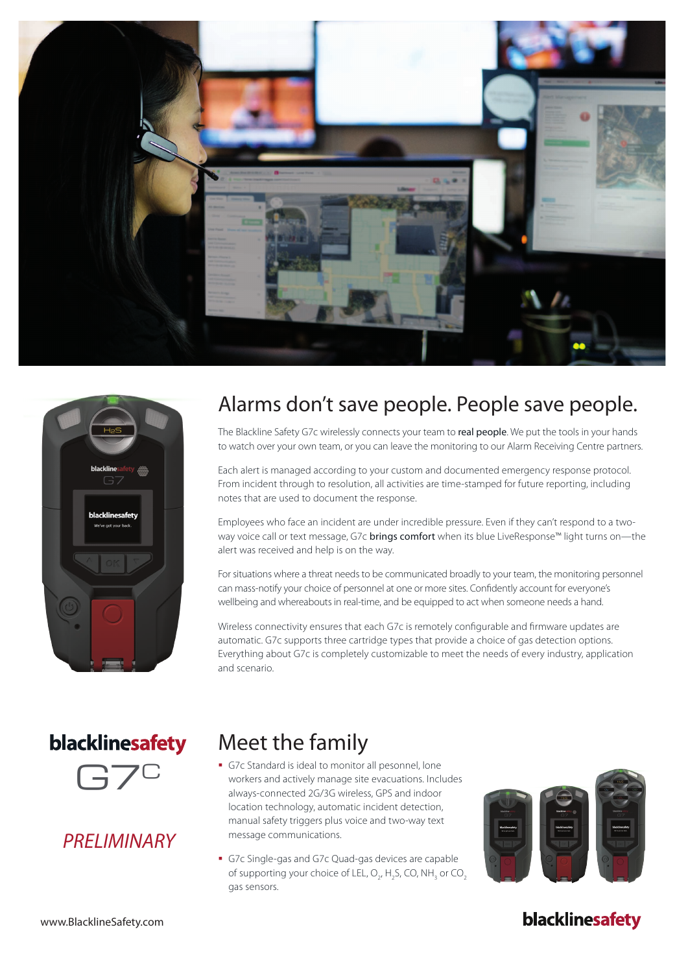



## Alarms don't save people. People save people.

The Blackline Safety G7c wirelessly connects your team to real people. We put the tools in your hands to watch over your own team, or you can leave the monitoring to our Alarm Receiving Centre partners.

Each alert is managed according to your custom and documented emergency response protocol. From incident through to resolution, all activities are time-stamped for future reporting, including notes that are used to document the response.

Employees who face an incident are under incredible pressure. Even if they can't respond to a twoway voice call or text message, G7c brings comfort when its blue LiveResponse™ light turns on—the alert was received and help is on the way.

For situations where a threat needs to be communicated broadly to your team, the monitoring personnel can mass-notify your choice of personnel at one or more sites. Confidently account for everyone's wellbeing and whereabouts in real-time, and be equipped to act when someone needs a hand.

Wireless connectivity ensures that each G7c is remotely configurable and firmware updates are automatic. G7c supports three cartridge types that provide a choice of gas detection options. Everything about G7c is completely customizable to meet the needs of every industry, application and scenario.

# blacklinesafety



### *PRELIMINARY*

### Meet the family

- § G7c Standard is ideal to monitor all pesonnel, lone workers and actively manage site evacuations. Includes always-connected 2G/3G wireless, GPS and indoor location technology, automatic incident detection, manual safety triggers plus voice and two-way text message communications.
- § G7c Single-gas and G7c Quad-gas devices are capable of supporting your choice of LEL,  $O_{2'}$ , H<sub>2</sub>S, CO, NH<sub>3</sub> or CO<sub>2</sub> gas sensors.



### blacklinesafety

www.BlacklineSafety.com